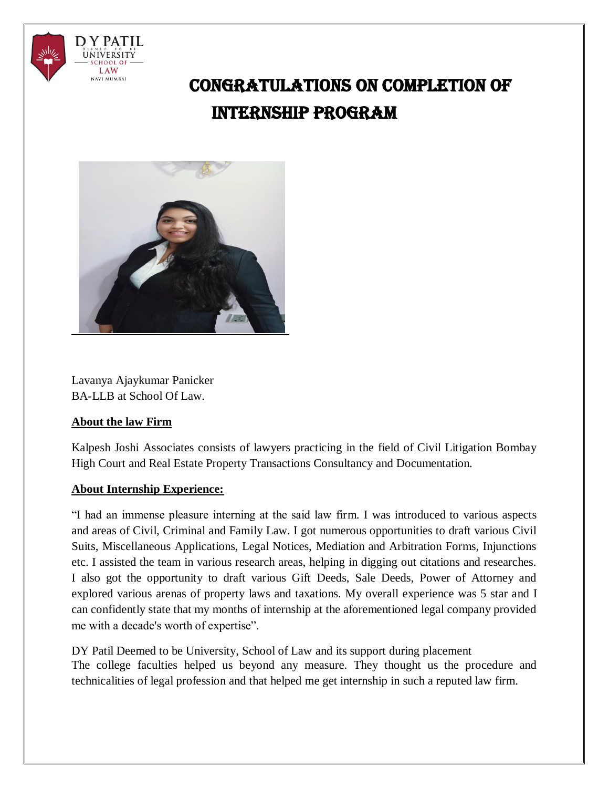

# CONGRATULATIONS ON COMPLETION OF INTERNSHIP PROGRAM



Lavanya Ajaykumar Panicker BA-LLB at School Of Law.

### **About the law Firm**

Kalpesh Joshi Associates consists of lawyers practicing in the field of Civil Litigation Bombay High Court and Real Estate Property Transactions Consultancy and Documentation.

## **About Internship Experience:**

"I had an immense pleasure interning at the said law firm. I was introduced to various aspects and areas of Civil, Criminal and Family Law. I got numerous opportunities to draft various Civil Suits, Miscellaneous Applications, Legal Notices, Mediation and Arbitration Forms, Injunctions etc. I assisted the team in various research areas, helping in digging out citations and researches. I also got the opportunity to draft various Gift Deeds, Sale Deeds, Power of Attorney and explored various arenas of property laws and taxations. My overall experience was 5 star and I can confidently state that my months of internship at the aforementioned legal company provided me with a decade's worth of expertise".

DY Patil Deemed to be University, School of Law and its support during placement The college faculties helped us beyond any measure. They thought us the procedure and technicalities of legal profession and that helped me get internship in such a reputed law firm.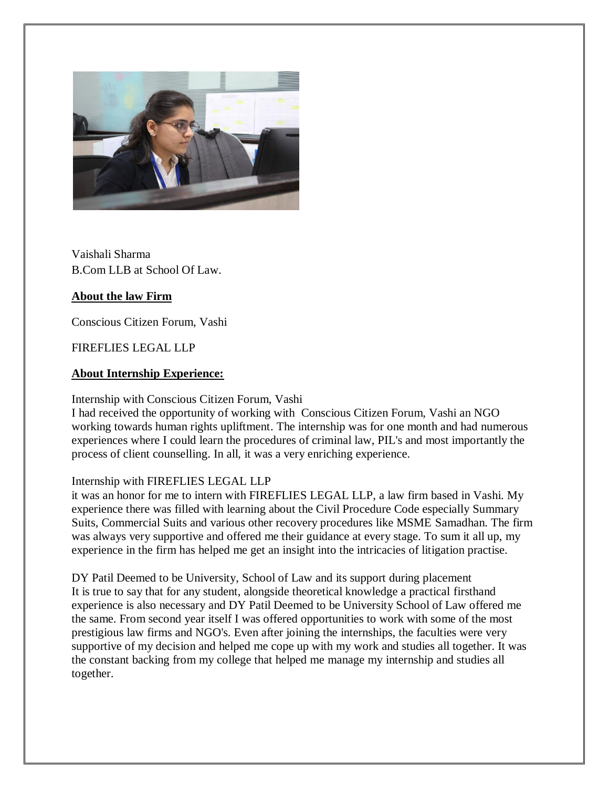

Vaishali Sharma B.Com LLB at School Of Law.

### **About the law Firm**

Conscious Citizen Forum, Vashi

### FIREFLIES LEGAL LLP

#### **About Internship Experience:**

Internship with Conscious Citizen Forum, Vashi

I had received the opportunity of working with Conscious Citizen Forum, Vashi an NGO working towards human rights upliftment. The internship was for one month and had numerous experiences where I could learn the procedures of criminal law, PIL's and most importantly the process of client counselling. In all, it was a very enriching experience.

#### Internship with FIREFLIES LEGAL LLP

it was an honor for me to intern with FIREFLIES LEGAL LLP, a law firm based in Vashi. My experience there was filled with learning about the Civil Procedure Code especially Summary Suits, Commercial Suits and various other recovery procedures like MSME Samadhan. The firm was always very supportive and offered me their guidance at every stage. To sum it all up, my experience in the firm has helped me get an insight into the intricacies of litigation practise.

DY Patil Deemed to be University, School of Law and its support during placement It is true to say that for any student, alongside theoretical knowledge a practical firsthand experience is also necessary and DY Patil Deemed to be University School of Law offered me the same. From second year itself I was offered opportunities to work with some of the most prestigious law firms and NGO's. Even after joining the internships, the faculties were very supportive of my decision and helped me cope up with my work and studies all together. It was the constant backing from my college that helped me manage my internship and studies all together.